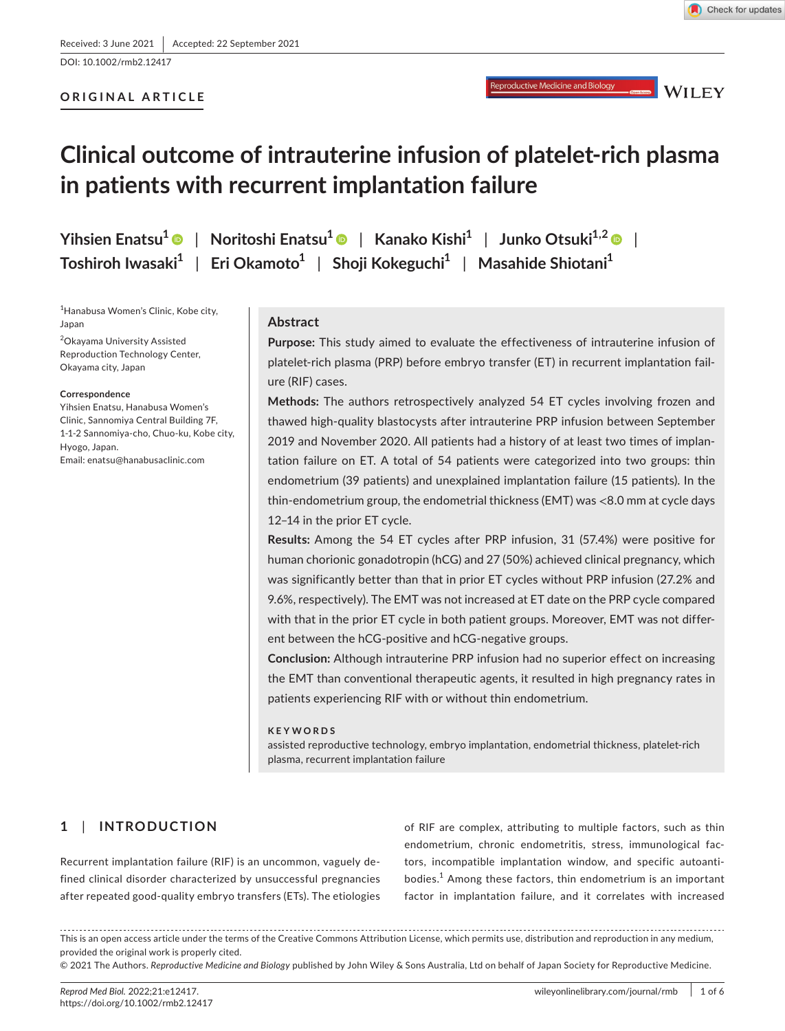DOI: 10.1002/rmb2.12417

# **ORIGINAL ARTICLE**



Reproductive Medicine and Biology

**WILEY** 

# **Clinical outcome of intrauterine infusion of platelet-rich plasma in patients with recurrent implantation failure**

**Yihsien Enatsu[1](https://orcid.org/0000-0002-5452-7313)** | **Noritoshi Enatsu<sup>1</sup>** | **Kanako Kishi<sup>1</sup>** | **Junko Otsuki1,[2](https://orcid.org/0000-0002-8183-8651)** | **Toshiroh Iwasaki<sup>1</sup>** | **Eri Okamoto<sup>1</sup>** | **Shoji Kokeguchi<sup>1</sup>** | **Masahide Shiotani<sup>1</sup>**

1 Hanabusa Women's Clinic, Kobe city, Japan

2 Okayama University Assisted Reproduction Technology Center, Okayama city, Japan

#### **Correspondence**

Yihsien Enatsu, Hanabusa Women's Clinic, Sannomiya Central Building 7F, 1-1-2 Sannomiya-cho, Chuo-ku, Kobe city, Hyogo, Japan. Email: [enatsu@hanabusaclinic.com](mailto:enatsu@hanabusaclinic.com)

# **Abstract**

**Purpose:** This study aimed to evaluate the effectiveness of intrauterine infusion of platelet-rich plasma (PRP) before embryo transfer (ET) in recurrent implantation failure (RIF) cases.

**Methods:** The authors retrospectively analyzed 54 ET cycles involving frozen and thawed high-quality blastocysts after intrauterine PRP infusion between September 2019 and November 2020. All patients had a history of at least two times of implantation failure on ET. A total of 54 patients were categorized into two groups: thin endometrium (39 patients) and unexplained implantation failure (15 patients). In the thin-endometrium group, the endometrial thickness (EMT) was <8.0 mm at cycle days 12–14 in the prior ET cycle.

**Results:** Among the 54 ET cycles after PRP infusion, 31 (57.4%) were positive for human chorionic gonadotropin (hCG) and 27 (50%) achieved clinical pregnancy, which was significantly better than that in prior ET cycles without PRP infusion (27.2% and 9.6%, respectively). The EMT was not increased at ET date on the PRP cycle compared with that in the prior ET cycle in both patient groups. Moreover, EMT was not different between the hCG-positive and hCG-negative groups.

**Conclusion:** Although intrauterine PRP infusion had no superior effect on increasing the EMT than conventional therapeutic agents, it resulted in high pregnancy rates in patients experiencing RIF with or without thin endometrium.

### **KEYWORDS**

assisted reproductive technology, embryo implantation, endometrial thickness, platelet-rich plasma, recurrent implantation failure

# **1**  | **INTRODUCTION**

Recurrent implantation failure (RIF) is an uncommon, vaguely defined clinical disorder characterized by unsuccessful pregnancies after repeated good-quality embryo transfers (ETs). The etiologies of RIF are complex, attributing to multiple factors, such as thin endometrium, chronic endometritis, stress, immunological factors, incompatible implantation window, and specific autoantibodies.<sup>1</sup> Among these factors, thin endometrium is an important factor in implantation failure, and it correlates with increased

This is an open access article under the terms of the [Creative Commons Attribution](http://creativecommons.org/licenses/by/4.0/) License, which permits use, distribution and reproduction in any medium, provided the original work is properly cited.

© 2021 The Authors. *Reproductive Medicine and Biology* published by John Wiley & Sons Australia, Ltd on behalf of Japan Society for Reproductive Medicine.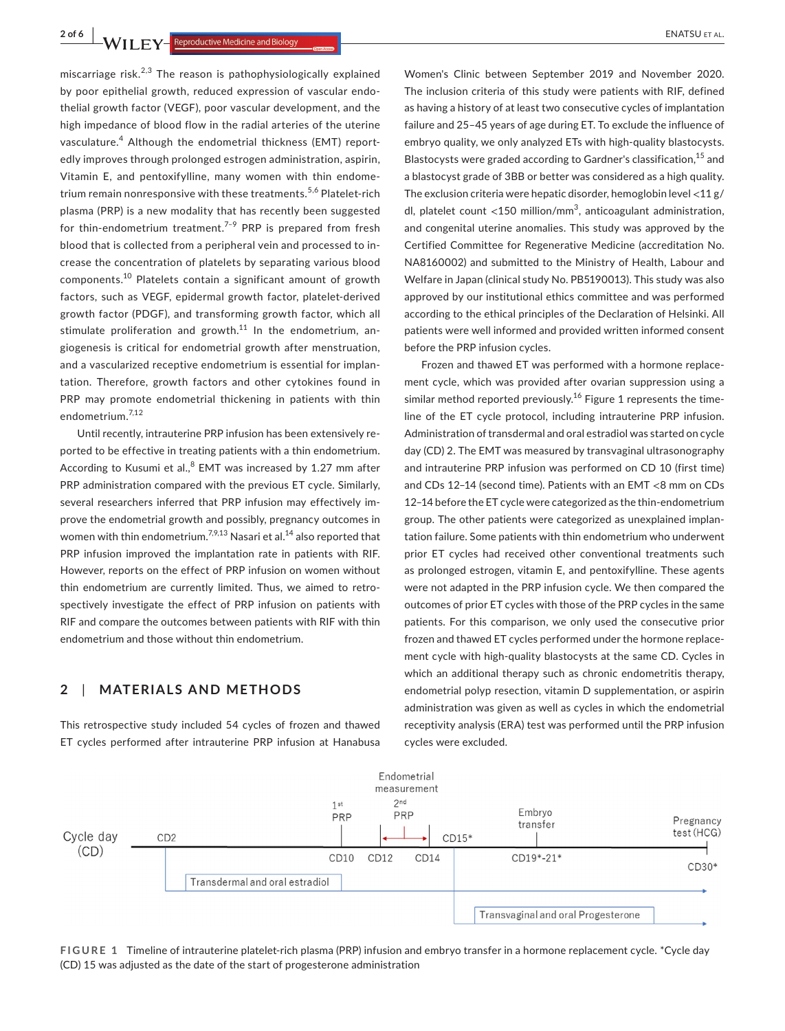**2 of 6 |**<br>**1/2/11 EV Reproductive Medicine and Biology <b>|**<br>**1/2/11 EV Reproductive Medicine and Biology |<br>
<b>2** of 6 |<br> **1/2/11 EV** Reproductive Medicine and Biology **|** 

miscarriage risk. $2,3$  The reason is pathophysiologically explained by poor epithelial growth, reduced expression of vascular endothelial growth factor (VEGF), poor vascular development, and the high impedance of blood flow in the radial arteries of the uterine vasculature.<sup>4</sup> Although the endometrial thickness (EMT) reportedly improves through prolonged estrogen administration, aspirin, Vitamin E, and pentoxifylline, many women with thin endometrium remain nonresponsive with these treatments.<sup>5,6</sup> Platelet-rich plasma (PRP) is a new modality that has recently been suggested for thin-endometrium treatment.<sup>7-9</sup> PRP is prepared from fresh blood that is collected from a peripheral vein and processed to increase the concentration of platelets by separating various blood components.10 Platelets contain a significant amount of growth factors, such as VEGF, epidermal growth factor, platelet-derived growth factor (PDGF), and transforming growth factor, which all stimulate proliferation and growth. $^{11}$  In the endometrium, angiogenesis is critical for endometrial growth after menstruation, and a vascularized receptive endometrium is essential for implantation. Therefore, growth factors and other cytokines found in PRP may promote endometrial thickening in patients with thin endometrium.7,12

Until recently, intrauterine PRP infusion has been extensively reported to be effective in treating patients with a thin endometrium. According to Kusumi et al., $^8$  EMT was increased by 1.27 mm after PRP administration compared with the previous ET cycle. Similarly, several researchers inferred that PRP infusion may effectively improve the endometrial growth and possibly, pregnancy outcomes in women with thin endometrium.<sup>7,9,13</sup> Nasari et al.<sup>14</sup> also reported that PRP infusion improved the implantation rate in patients with RIF. However, reports on the effect of PRP infusion on women without thin endometrium are currently limited. Thus, we aimed to retrospectively investigate the effect of PRP infusion on patients with RIF and compare the outcomes between patients with RIF with thin endometrium and those without thin endometrium.

# **2**  | **MATERIALS AND METHODS**

This retrospective study included 54 cycles of frozen and thawed ET cycles performed after intrauterine PRP infusion at Hanabusa

Women's Clinic between September 2019 and November 2020. The inclusion criteria of this study were patients with RIF, defined as having a history of at least two consecutive cycles of implantation failure and 25–45 years of age during ET. To exclude the influence of embryo quality, we only analyzed ETs with high-quality blastocysts. Blastocysts were graded according to Gardner's classification,<sup>15</sup> and a blastocyst grade of 3BB or better was considered as a high quality. The exclusion criteria were hepatic disorder, hemoglobin level  $<$ 11 g/ dl, platelet count <150 million/mm<sup>3</sup>, anticoagulant administration, and congenital uterine anomalies. This study was approved by the Certified Committee for Regenerative Medicine (accreditation No. NA8160002) and submitted to the Ministry of Health, Labour and Welfare in Japan (clinical study No. PB5190013). This study was also approved by our institutional ethics committee and was performed according to the ethical principles of the Declaration of Helsinki. All patients were well informed and provided written informed consent before the PRP infusion cycles.

Frozen and thawed ET was performed with a hormone replacement cycle, which was provided after ovarian suppression using a similar method reported previously.<sup>16</sup> Figure 1 represents the timeline of the ET cycle protocol, including intrauterine PRP infusion. Administration of transdermal and oral estradiol was started on cycle day (CD) 2. The EMT was measured by transvaginal ultrasonography and intrauterine PRP infusion was performed on CD 10 (first time) and CDs 12–14 (second time). Patients with an EMT <8 mm on CDs 12–14 before the ET cycle were categorized as the thin-endometrium group. The other patients were categorized as unexplained implantation failure. Some patients with thin endometrium who underwent prior ET cycles had received other conventional treatments such as prolonged estrogen, vitamin E, and pentoxifylline. These agents were not adapted in the PRP infusion cycle. We then compared the outcomes of prior ET cycles with those of the PRP cycles in the same patients. For this comparison, we only used the consecutive prior frozen and thawed ET cycles performed under the hormone replacement cycle with high-quality blastocysts at the same CD. Cycles in which an additional therapy such as chronic endometritis therapy, endometrial polyp resection, vitamin D supplementation, or aspirin administration was given as well as cycles in which the endometrial receptivity analysis (ERA) test was performed until the PRP infusion cycles were excluded.



**FIGURE 1** Timeline of intrauterine platelet-rich plasma (PRP) infusion and embryo transfer in a hormone replacement cycle. \*Cycle day (CD) 15 was adjusted as the date of the start of progesterone administration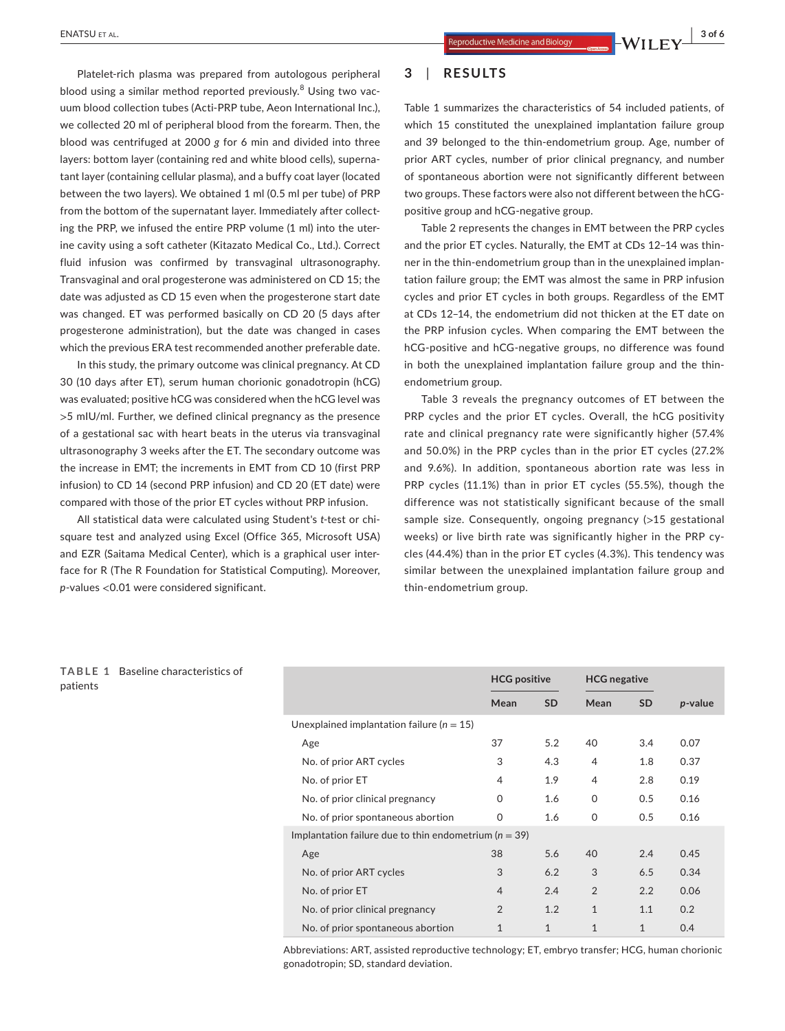**3**  | **RESULTS**

Table 1 summarizes the characteristics of 54 included patients, of which 15 constituted the unexplained implantation failure group and 39 belonged to the thin-endometrium group. Age, number of prior ART cycles, number of prior clinical pregnancy, and number of spontaneous abortion were not significantly different between two groups. These factors were also not different between the hCGpositive group and hCG-negative group.

Table 2 represents the changes in EMT between the PRP cycles and the prior ET cycles. Naturally, the EMT at CDs 12–14 was thinner in the thin-endometrium group than in the unexplained implantation failure group; the EMT was almost the same in PRP infusion cycles and prior ET cycles in both groups. Regardless of the EMT at CDs 12–14, the endometrium did not thicken at the ET date on the PRP infusion cycles. When comparing the EMT between the hCG-positive and hCG-negative groups, no difference was found in both the unexplained implantation failure group and the thinendometrium group.

Table 3 reveals the pregnancy outcomes of ET between the PRP cycles and the prior ET cycles. Overall, the hCG positivity rate and clinical pregnancy rate were significantly higher (57.4% and 50.0%) in the PRP cycles than in the prior ET cycles (27.2% and 9.6%). In addition, spontaneous abortion rate was less in PRP cycles (11.1%) than in prior ET cycles (55.5%), though the difference was not statistically significant because of the small sample size. Consequently, ongoing pregnancy (>15 gestational weeks) or live birth rate was significantly higher in the PRP cycles (44.4%) than in the prior ET cycles (4.3%). This tendency was similar between the unexplained implantation failure group and thin-endometrium group.

blood using a similar method reported previously.<sup>8</sup> Using two vacuum blood collection tubes (Acti-PRP tube, Aeon International Inc.), we collected 20 ml of peripheral blood from the forearm. Then, the blood was centrifuged at 2000 *g* for 6 min and divided into three layers: bottom layer (containing red and white blood cells), supernatant layer (containing cellular plasma), and a buffy coat layer (located between the two layers). We obtained 1 ml (0.5 ml per tube) of PRP from the bottom of the supernatant layer. Immediately after collecting the PRP, we infused the entire PRP volume (1 ml) into the uterine cavity using a soft catheter (Kitazato Medical Co., Ltd.). Correct fluid infusion was confirmed by transvaginal ultrasonography. Transvaginal and oral progesterone was administered on CD 15; the date was adjusted as CD 15 even when the progesterone start date was changed. ET was performed basically on CD 20 (5 days after progesterone administration), but the date was changed in cases

Platelet-rich plasma was prepared from autologous peripheral

In this study, the primary outcome was clinical pregnancy. At CD 30 (10 days after ET), serum human chorionic gonadotropin (hCG) was evaluated; positive hCG was considered when the hCG level was >5 mIU/ml. Further, we defined clinical pregnancy as the presence of a gestational sac with heart beats in the uterus via transvaginal ultrasonography 3 weeks after the ET. The secondary outcome was the increase in EMT; the increments in EMT from CD 10 (first PRP infusion) to CD 14 (second PRP infusion) and CD 20 (ET date) were compared with those of the prior ET cycles without PRP infusion.

which the previous ERA test recommended another preferable date.

All statistical data were calculated using Student's *t*-test or chisquare test and analyzed using Excel (Office 365, Microsoft USA) and EZR (Saitama Medical Center), which is a graphical user interface for R (The R Foundation for Statistical Computing). Moreover, *p*-values <0.01 were considered significant.

## **TABLE 1** Baseline characteristics of patients

|                                                           | <b>HCG positive</b> |              |                | <b>HCG</b> negative |         |
|-----------------------------------------------------------|---------------------|--------------|----------------|---------------------|---------|
|                                                           | Mean                | <b>SD</b>    | Mean           | <b>SD</b>           | p-value |
| Unexplained implantation failure ( $n = 15$ )             |                     |              |                |                     |         |
| Age                                                       | 37                  | 5.2          | 40             | 3.4                 | 0.07    |
| No. of prior ART cycles                                   | 3                   | 4.3          | 4              | 1.8                 | 0.37    |
| No. of prior ET                                           | 4                   | 1.9          | 4              | 2.8                 | 0.19    |
| No. of prior clinical pregnancy                           | $\Omega$            | 1.6          | $\Omega$       | 0.5                 | 0.16    |
| No. of prior spontaneous abortion                         | 0                   | 1.6          | $\Omega$       | 0.5                 | 0.16    |
| Implantation failure due to thin endometrium ( $n = 39$ ) |                     |              |                |                     |         |
| Age                                                       | 38                  | 5.6          | 40             | 2.4                 | 0.45    |
| No. of prior ART cycles                                   | 3                   | 6.2          | 3              | 6.5                 | 0.34    |
| No. of prior ET                                           | $\overline{4}$      | 2.4          | $\overline{2}$ | 2.2                 | 0.06    |
| No. of prior clinical pregnancy                           | $\overline{2}$      | 1.2          | $\mathbf{1}$   | 1.1                 | 0.2     |
| No. of prior spontaneous abortion                         | $\mathbf{1}$        | $\mathbf{1}$ | $\mathbf{1}$   | $\mathbf{1}$        | 0.4     |

Abbreviations: ART, assisted reproductive technology; ET, embryo transfer; HCG, human chorionic gonadotropin; SD, standard deviation.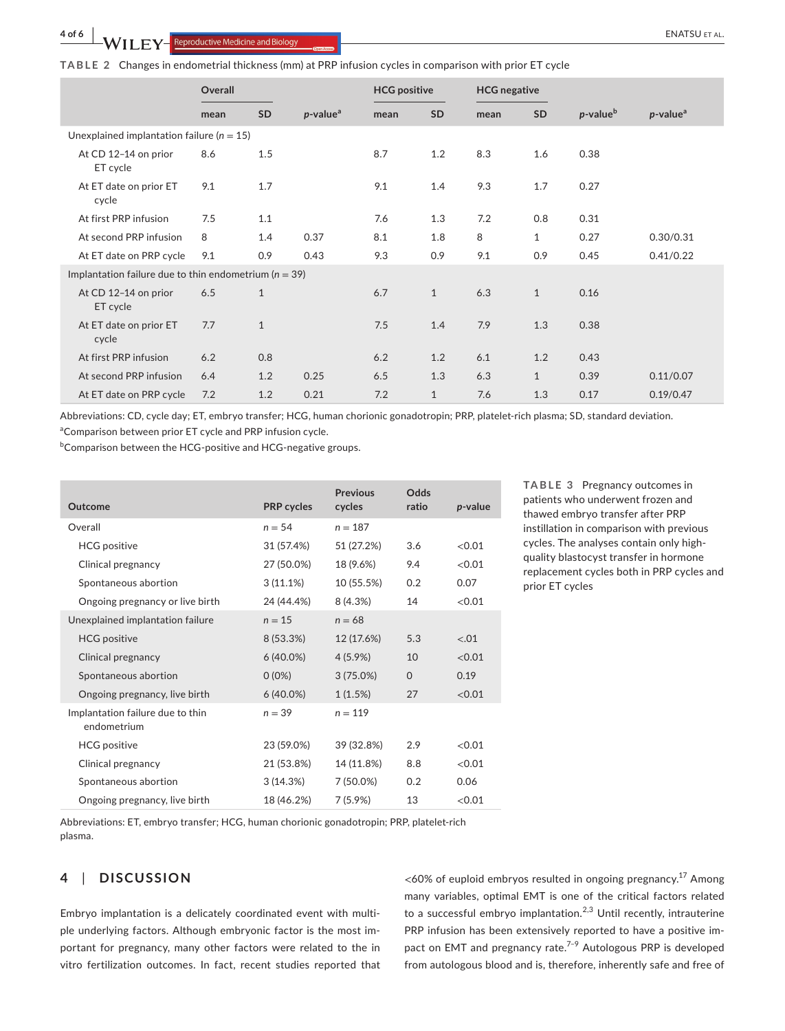**TABLE 2** Changes in endometrial thickness (mm) at PRP infusion cycles in comparison with prior ET cycle

|                                                           | Overall |              | <b>HCG</b> positive     |      | <b>HCG</b> negative |      |              |                      |                         |
|-----------------------------------------------------------|---------|--------------|-------------------------|------|---------------------|------|--------------|----------------------|-------------------------|
|                                                           | mean    | SD           | $p$ -value <sup>a</sup> | mean | <b>SD</b>           | mean | <b>SD</b>    | p-value <sup>b</sup> | $p$ -value <sup>a</sup> |
| Unexplained implantation failure ( $n = 15$ )             |         |              |                         |      |                     |      |              |                      |                         |
| At CD 12-14 on prior<br>ET cycle                          | 8.6     | 1.5          |                         | 8.7  | 1.2                 | 8.3  | 1.6          | 0.38                 |                         |
| At ET date on prior ET<br>cycle                           | 9.1     | 1.7          |                         | 9.1  | 1.4                 | 9.3  | 1.7          | 0.27                 |                         |
| At first PRP infusion                                     | 7.5     | 1.1          |                         | 7.6  | 1.3                 | 7.2  | 0.8          | 0.31                 |                         |
| At second PRP infusion                                    | 8       | 1.4          | 0.37                    | 8.1  | 1.8                 | 8    | $\mathbf{1}$ | 0.27                 | 0.30/0.31               |
| At ET date on PRP cycle                                   | 9.1     | 0.9          | 0.43                    | 9.3  | 0.9                 | 9.1  | 0.9          | 0.45                 | 0.41/0.22               |
| Implantation failure due to thin endometrium ( $n = 39$ ) |         |              |                         |      |                     |      |              |                      |                         |
| At CD 12-14 on prior<br>ET cycle                          | 6.5     | $\mathbf{1}$ |                         | 6.7  | $\mathbf{1}$        | 6.3  | $\mathbf{1}$ | 0.16                 |                         |
| At ET date on prior ET<br>cycle                           | 7.7     | $\mathbf{1}$ |                         | 7.5  | 1.4                 | 7.9  | 1.3          | 0.38                 |                         |
| At first PRP infusion                                     | 6.2     | 0.8          |                         | 6.2  | 1.2                 | 6.1  | 1.2          | 0.43                 |                         |
| At second PRP infusion                                    | 6.4     | 1.2          | 0.25                    | 6.5  | 1.3                 | 6.3  | $\mathbf{1}$ | 0.39                 | 0.11/0.07               |
| At ET date on PRP cycle                                   | 7.2     | 1.2          | 0.21                    | 7.2  | $\mathbf{1}$        | 7.6  | 1.3          | 0.17                 | 0.19/0.47               |

Abbreviations: CD, cycle day; ET, embryo transfer; HCG, human chorionic gonadotropin; PRP, platelet-rich plasma; SD, standard deviation. <sup>a</sup>Comparison between prior ET cycle and PRP infusion cycle.

<sup>b</sup>Comparison between the HCG-positive and HCG-negative groups.

| Outcome                                         | <b>PRP</b> cycles | <b>Previous</b><br>cycles | Odds<br>ratio | p-value |
|-------------------------------------------------|-------------------|---------------------------|---------------|---------|
| Overall                                         | $n = 54$          | $n = 187$                 |               |         |
| <b>HCG</b> positive                             | 31 (57.4%)        | 51 (27.2%)                | 3.6           | <0.01   |
| Clinical pregnancy                              | 27 (50.0%)        | 18 (9.6%)                 | 9.4           | <0.01   |
| Spontaneous abortion                            | 3(11.1%)          | 10 (55.5%)                | 0.2           | 0.07    |
| Ongoing pregnancy or live birth                 | 24 (44.4%)        | 8 (4.3%)                  | 14            | <0.01   |
| Unexplained implantation failure                | $n = 15$          | $n = 68$                  |               |         |
| <b>HCG</b> positive                             | 8 (53.3%)         | 12 (17.6%)                | 5.3           | $-.01$  |
| Clinical pregnancy                              | $6(40.0\%)$       | $4(5.9\%)$                | 10            | < 0.01  |
| Spontaneous abortion                            | $0(0\%)$          | 3(75.0%)                  | $\Omega$      | 0.19    |
| Ongoing pregnancy, live birth                   | $6(40.0\%)$       | 1(1.5%)                   | 27            | < 0.01  |
| Implantation failure due to thin<br>endometrium | $n = 39$          | $n = 119$                 |               |         |
| <b>HCG</b> positive                             | 23 (59.0%)        | 39 (32.8%)                | 2.9           | < 0.01  |
| Clinical pregnancy                              | 21 (53.8%)        | 14 (11.8%)                | 8.8           | <0.01   |
| Spontaneous abortion                            | 3(14.3%)          | 7 (50.0%)                 | 0.2           | 0.06    |
| Ongoing pregnancy, live birth                   | 18 (46.2%)        | 7(5.9%)                   | 13            | <0.01   |

**TABLE 3** Pregnancy outcomes in patients who underwent frozen and thawed embryo transfer after PRP instillation in comparison with previous cycles. The analyses contain only highquality blastocyst transfer in hormone replacement cycles both in PRP cycles and prior ET cycles

Abbreviations: ET, embryo transfer; HCG, human chorionic gonadotropin; PRP, platelet-rich plasma.

# **4**  | **DISCUSSION**

Embryo implantation is a delicately coordinated event with multiple underlying factors. Although embryonic factor is the most important for pregnancy, many other factors were related to the in vitro fertilization outcomes. In fact, recent studies reported that

 $<$  60% of euploid embryos resulted in ongoing pregnancy.<sup>17</sup> Among many variables, optimal EMT is one of the critical factors related to a successful embryo implantation. $2,3$  Until recently, intrauterine PRP infusion has been extensively reported to have a positive impact on EMT and pregnancy rate.<sup>7-9</sup> Autologous PRP is developed from autologous blood and is, therefore, inherently safe and free of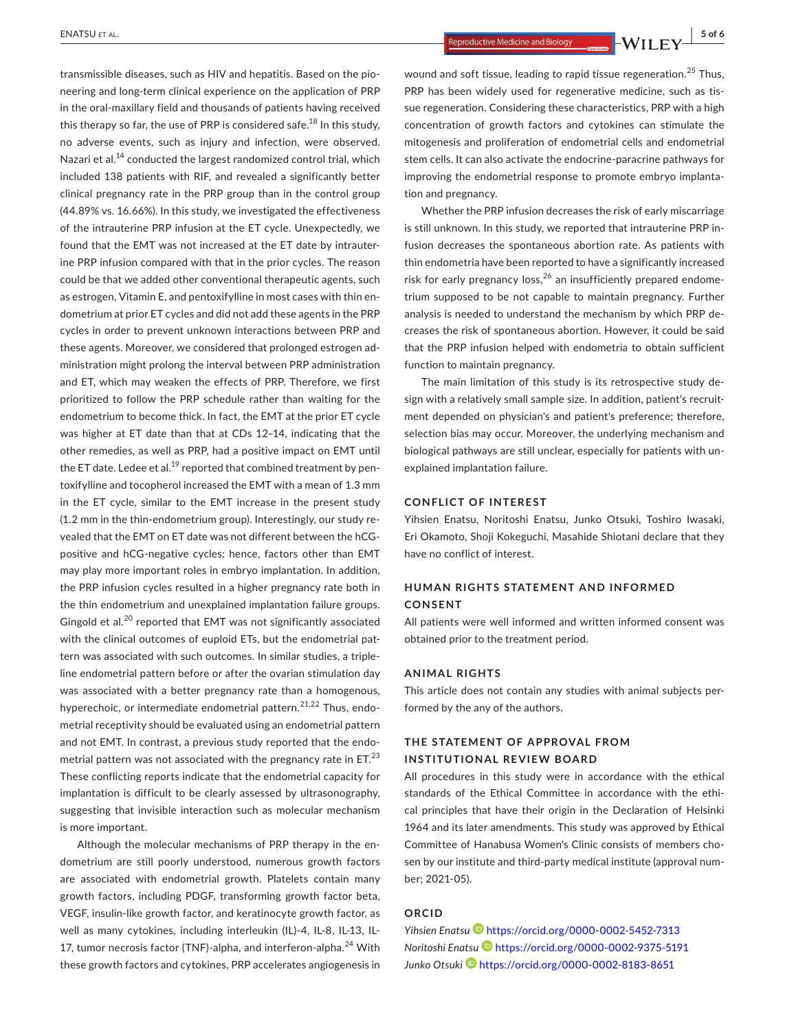**ENATSU** ET AL. *CONSUMERTAL.* **EXATSU** ET AL. **EXATSU** EXATSULE **EX** 

transmissible diseases, such as HIV and hepatitis. Based on the pioneering and long-term clinical experience on the application of PRP in the oral-maxillary field and thousands of patients having received this therapy so far, the use of PRP is considered safe. $^{18}$  In this study, no adverse events, such as injury and infection, were observed. Nazari et al.<sup>14</sup> conducted the largest randomized control trial, which included 138 patients with RIF, and revealed a significantly better clinical pregnancy rate in the PRP group than in the control group (44.89% vs. 16.66%). In this study, we investigated the effectiveness of the intrauterine PRP infusion at the ET cycle. Unexpectedly, we found that the EMT was not increased at the ET date by intrauterine PRP infusion compared with that in the prior cycles. The reason could be that we added other conventional therapeutic agents, such as estrogen, Vitamin E, and pentoxifylline in most cases with thin endometrium at prior ET cycles and did not add these agents in the PRP cycles in order to prevent unknown interactions between PRP and these agents. Moreover, we considered that prolonged estrogen administration might prolong the interval between PRP administration and ET, which may weaken the effects of PRP. Therefore, we first prioritized to follow the PRP schedule rather than waiting for the endometrium to become thick. In fact, the EMT at the prior ET cycle was higher at ET date than that at CDs 12–14, indicating that the other remedies, as well as PRP, had a positive impact on EMT until the ET date. Ledee et al. $^{19}$  reported that combined treatment by pentoxifylline and tocopherol increased the EMT with a mean of 1.3 mm in the ET cycle, similar to the EMT increase in the present study (1.2 mm in the thin-endometrium group). Interestingly, our study revealed that the EMT on ET date was not different between the hCGpositive and hCG-negative cycles; hence, factors other than EMT may play more important roles in embryo implantation. In addition, the PRP infusion cycles resulted in a higher pregnancy rate both in the thin endometrium and unexplained implantation failure groups. Gingold et al.<sup>20</sup> reported that EMT was not significantly associated with the clinical outcomes of euploid ETs, but the endometrial pattern was associated with such outcomes. In similar studies, a tripleline endometrial pattern before or after the ovarian stimulation day was associated with a better pregnancy rate than a homogenous, hyperechoic, or intermediate endometrial pattern.<sup>21,22</sup> Thus, endometrial receptivity should be evaluated using an endometrial pattern and not EMT. In contrast, a previous study reported that the endometrial pattern was not associated with the pregnancy rate in  $ET<sup>23</sup>$ These conflicting reports indicate that the endometrial capacity for implantation is difficult to be clearly assessed by ultrasonography, suggesting that invisible interaction such as molecular mechanism is more important.

Although the molecular mechanisms of PRP therapy in the endometrium are still poorly understood, numerous growth factors are associated with endometrial growth. Platelets contain many growth factors, including PDGF, transforming growth factor beta, VEGF, insulin-like growth factor, and keratinocyte growth factor, as well as many cytokines, including interleukin (IL)-4, IL-8, IL-13, IL-17, tumor necrosis factor (TNF)-alpha, and interferon-alpha.<sup>24</sup> With these growth factors and cytokines, PRP accelerates angiogenesis in

wound and soft tissue, leading to rapid tissue regeneration.<sup>25</sup> Thus, PRP has been widely used for regenerative medicine, such as tissue regeneration. Considering these characteristics, PRP with a high concentration of growth factors and cytokines can stimulate the mitogenesis and proliferation of endometrial cells and endometrial stem cells. It can also activate the endocrine-paracrine pathways for improving the endometrial response to promote embryo implantation and pregnancy.

Whether the PRP infusion decreases the risk of early miscarriage is still unknown. In this study, we reported that intrauterine PRP infusion decreases the spontaneous abortion rate. As patients with thin endometria have been reported to have a significantly increased risk for early pregnancy  $loss<sub>1</sub><sup>26</sup>$  an insufficiently prepared endometrium supposed to be not capable to maintain pregnancy. Further analysis is needed to understand the mechanism by which PRP decreases the risk of spontaneous abortion. However, it could be said that the PRP infusion helped with endometria to obtain sufficient function to maintain pregnancy.

The main limitation of this study is its retrospective study design with a relatively small sample size. In addition, patient's recruitment depended on physician's and patient's preference; therefore, selection bias may occur. Moreover, the underlying mechanism and biological pathways are still unclear, especially for patients with unexplained implantation failure.

#### **CONFLICT OF INTEREST**

Yihsien Enatsu, Noritoshi Enatsu, Junko Otsuki, Toshiro Iwasaki, Eri Okamoto, Shoji Kokeguchi, Masahide Shiotani declare that they have no conflict of interest.

# **HUMAN RIGHTS STATEMENT AND INFORMED CONSENT**

All patients were well informed and written informed consent was obtained prior to the treatment period.

# **ANIMAL RIGHTS**

This article does not contain any studies with animal subjects performed by the any of the authors.

# **THE STATEMENT OF APPROVAL FROM INSTITUTIONAL REVIEW BOARD**

All procedures in this study were in accordance with the ethical standards of the Ethical Committee in accordance with the ethical principles that have their origin in the Declaration of Helsinki 1964 and its later amendments. This study was approved by Ethical Committee of Hanabusa Women's Clinic consists of members chosen by our institute and third-party medical institute (approval number; 2021-05).

## **ORCID**

*Yihsien Enatsu* <https://orcid.org/0000-0002-5452-7313> *Noritoshi Enats[u](https://orcid.org/0000-0002-9375-5191)* <https://orcid.org/0000-0002-9375-5191> *Junko Otsuki* <https://orcid.org/0000-0002-8183-8651>